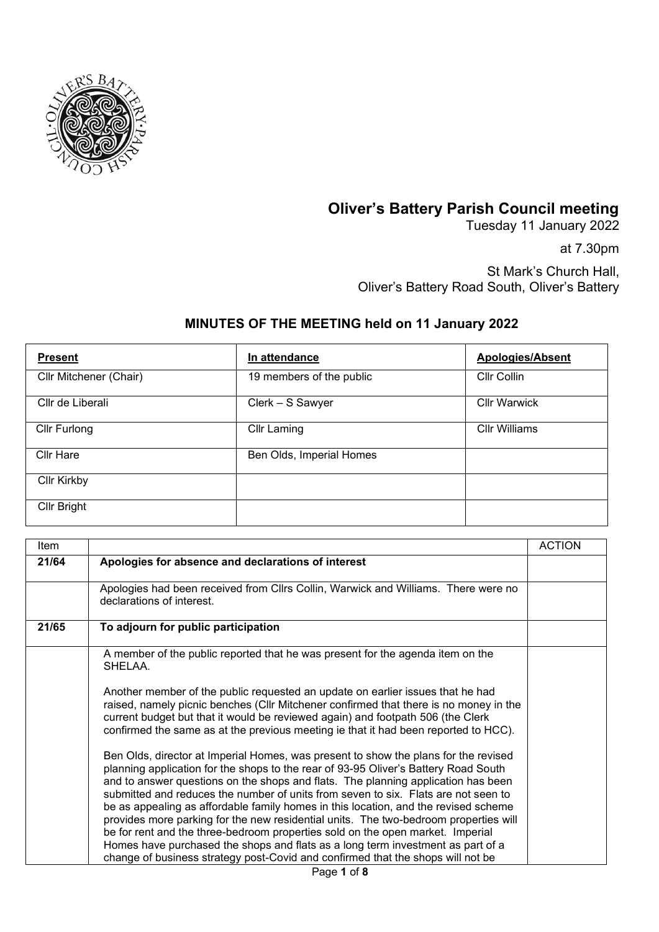

## **Oliver's Battery Parish Council meeting**

Tuesday 11 January 2022

at 7.30pm

St Mark's Church Hall, Oliver's Battery Road South, Oliver's Battery

## **MINUTES OF THE MEETING held on 11 January 2022**

| <b>Present</b>         | In attendance            | <b>Apologies/Absent</b> |
|------------------------|--------------------------|-------------------------|
| Cllr Mitchener (Chair) | 19 members of the public | Cllr Collin             |
| Cllr de Liberali       | Clerk - S Sawyer         | <b>Cllr Warwick</b>     |
| Cllr Furlong           | <b>Cllr Laming</b>       | <b>Cllr Williams</b>    |
| <b>Cllr Hare</b>       | Ben Olds, Imperial Homes |                         |
| <b>Cllr Kirkby</b>     |                          |                         |
| Cllr Bright            |                          |                         |

| Item  |                                                                                                                                                                                                                                                                                                                                                                                                                                                                                                                                                                                                                                                                                                                                                                                              | <b>ACTION</b> |
|-------|----------------------------------------------------------------------------------------------------------------------------------------------------------------------------------------------------------------------------------------------------------------------------------------------------------------------------------------------------------------------------------------------------------------------------------------------------------------------------------------------------------------------------------------------------------------------------------------------------------------------------------------------------------------------------------------------------------------------------------------------------------------------------------------------|---------------|
| 21/64 | Apologies for absence and declarations of interest                                                                                                                                                                                                                                                                                                                                                                                                                                                                                                                                                                                                                                                                                                                                           |               |
|       | Apologies had been received from Cllrs Collin, Warwick and Williams. There were no<br>declarations of interest.                                                                                                                                                                                                                                                                                                                                                                                                                                                                                                                                                                                                                                                                              |               |
| 21/65 | To adjourn for public participation                                                                                                                                                                                                                                                                                                                                                                                                                                                                                                                                                                                                                                                                                                                                                          |               |
|       | A member of the public reported that he was present for the agenda item on the<br>SHELAA.                                                                                                                                                                                                                                                                                                                                                                                                                                                                                                                                                                                                                                                                                                    |               |
|       | Another member of the public requested an update on earlier issues that he had<br>raised, namely picnic benches (Cllr Mitchener confirmed that there is no money in the<br>current budget but that it would be reviewed again) and footpath 506 (the Clerk<br>confirmed the same as at the previous meeting ie that it had been reported to HCC).                                                                                                                                                                                                                                                                                                                                                                                                                                            |               |
|       | Ben Olds, director at Imperial Homes, was present to show the plans for the revised<br>planning application for the shops to the rear of 93-95 Oliver's Battery Road South<br>and to answer questions on the shops and flats. The planning application has been<br>submitted and reduces the number of units from seven to six. Flats are not seen to<br>be as appealing as affordable family homes in this location, and the revised scheme<br>provides more parking for the new residential units. The two-bedroom properties will<br>be for rent and the three-bedroom properties sold on the open market. Imperial<br>Homes have purchased the shops and flats as a long term investment as part of a<br>change of business strategy post-Covid and confirmed that the shops will not be |               |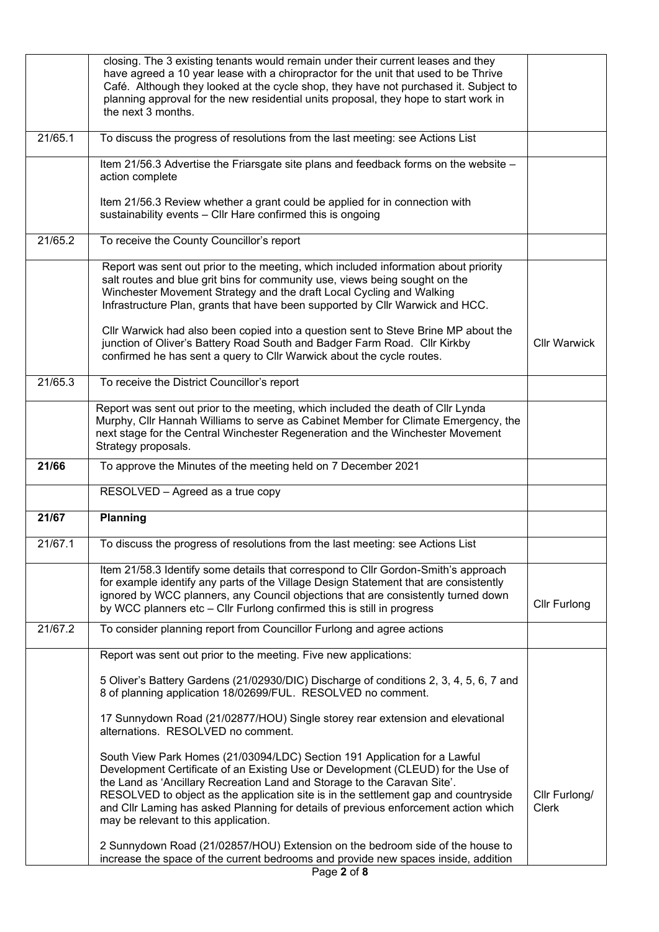|         | closing. The 3 existing tenants would remain under their current leases and they<br>have agreed a 10 year lease with a chiropractor for the unit that used to be Thrive<br>Café. Although they looked at the cycle shop, they have not purchased it. Subject to<br>planning approval for the new residential units proposal, they hope to start work in<br>the next 3 months.                                                                                   |                               |
|---------|-----------------------------------------------------------------------------------------------------------------------------------------------------------------------------------------------------------------------------------------------------------------------------------------------------------------------------------------------------------------------------------------------------------------------------------------------------------------|-------------------------------|
| 21/65.1 | To discuss the progress of resolutions from the last meeting: see Actions List                                                                                                                                                                                                                                                                                                                                                                                  |                               |
|         | Item 21/56.3 Advertise the Friarsgate site plans and feedback forms on the website -<br>action complete                                                                                                                                                                                                                                                                                                                                                         |                               |
|         | Item 21/56.3 Review whether a grant could be applied for in connection with<br>sustainability events - Cllr Hare confirmed this is ongoing                                                                                                                                                                                                                                                                                                                      |                               |
| 21/65.2 | To receive the County Councillor's report                                                                                                                                                                                                                                                                                                                                                                                                                       |                               |
|         | Report was sent out prior to the meeting, which included information about priority<br>salt routes and blue grit bins for community use, views being sought on the<br>Winchester Movement Strategy and the draft Local Cycling and Walking<br>Infrastructure Plan, grants that have been supported by Cllr Warwick and HCC.<br>Cllr Warwick had also been copied into a question sent to Steve Brine MP about the                                               |                               |
|         | junction of Oliver's Battery Road South and Badger Farm Road. Cllr Kirkby<br>confirmed he has sent a query to Cllr Warwick about the cycle routes.                                                                                                                                                                                                                                                                                                              | <b>Cllr Warwick</b>           |
| 21/65.3 | To receive the District Councillor's report                                                                                                                                                                                                                                                                                                                                                                                                                     |                               |
|         | Report was sent out prior to the meeting, which included the death of Cllr Lynda<br>Murphy, Cllr Hannah Williams to serve as Cabinet Member for Climate Emergency, the<br>next stage for the Central Winchester Regeneration and the Winchester Movement<br>Strategy proposals.                                                                                                                                                                                 |                               |
| 21/66   | To approve the Minutes of the meeting held on 7 December 2021                                                                                                                                                                                                                                                                                                                                                                                                   |                               |
|         | RESOLVED - Agreed as a true copy                                                                                                                                                                                                                                                                                                                                                                                                                                |                               |
| 21/67   | Planning                                                                                                                                                                                                                                                                                                                                                                                                                                                        |                               |
| 21/67.1 | To discuss the progress of resolutions from the last meeting: see Actions List                                                                                                                                                                                                                                                                                                                                                                                  |                               |
|         | Item 21/58.3 Identify some details that correspond to CIIr Gordon-Smith's approach<br>for example identify any parts of the Village Design Statement that are consistently<br>ignored by WCC planners, any Council objections that are consistently turned down<br>by WCC planners etc - Cllr Furlong confirmed this is still in progress                                                                                                                       | <b>Cllr Furlong</b>           |
| 21/67.2 | To consider planning report from Councillor Furlong and agree actions                                                                                                                                                                                                                                                                                                                                                                                           |                               |
|         | Report was sent out prior to the meeting. Five new applications:                                                                                                                                                                                                                                                                                                                                                                                                |                               |
|         | 5 Oliver's Battery Gardens (21/02930/DIC) Discharge of conditions 2, 3, 4, 5, 6, 7 and<br>8 of planning application 18/02699/FUL. RESOLVED no comment.                                                                                                                                                                                                                                                                                                          |                               |
|         | 17 Sunnydown Road (21/02877/HOU) Single storey rear extension and elevational<br>alternations. RESOLVED no comment.                                                                                                                                                                                                                                                                                                                                             |                               |
|         | South View Park Homes (21/03094/LDC) Section 191 Application for a Lawful<br>Development Certificate of an Existing Use or Development (CLEUD) for the Use of<br>the Land as 'Ancillary Recreation Land and Storage to the Caravan Site'.<br>RESOLVED to object as the application site is in the settlement gap and countryside<br>and Cllr Laming has asked Planning for details of previous enforcement action which<br>may be relevant to this application. | Cllr Furlong/<br><b>Clerk</b> |
|         | 2 Sunnydown Road (21/02857/HOU) Extension on the bedroom side of the house to<br>increase the space of the current bedrooms and provide new spaces inside, addition                                                                                                                                                                                                                                                                                             |                               |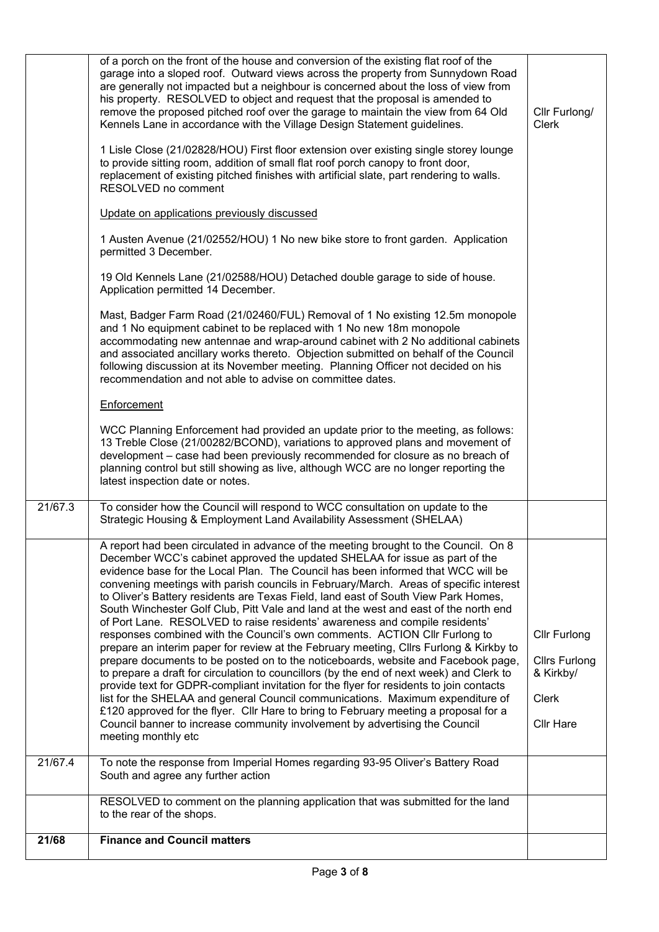| 21/68   | <b>Finance and Council matters</b>                                                                                                                                                                                                                                                                                                                                                                                                                                                                                                                                                                                                                                                                                                                                                                                                                                                                                                                                                                                                                                                                                                                                                                                                                                                                                                               |                                                                                              |
|---------|--------------------------------------------------------------------------------------------------------------------------------------------------------------------------------------------------------------------------------------------------------------------------------------------------------------------------------------------------------------------------------------------------------------------------------------------------------------------------------------------------------------------------------------------------------------------------------------------------------------------------------------------------------------------------------------------------------------------------------------------------------------------------------------------------------------------------------------------------------------------------------------------------------------------------------------------------------------------------------------------------------------------------------------------------------------------------------------------------------------------------------------------------------------------------------------------------------------------------------------------------------------------------------------------------------------------------------------------------|----------------------------------------------------------------------------------------------|
|         | RESOLVED to comment on the planning application that was submitted for the land<br>to the rear of the shops.                                                                                                                                                                                                                                                                                                                                                                                                                                                                                                                                                                                                                                                                                                                                                                                                                                                                                                                                                                                                                                                                                                                                                                                                                                     |                                                                                              |
| 21/67.4 | To note the response from Imperial Homes regarding 93-95 Oliver's Battery Road<br>South and agree any further action                                                                                                                                                                                                                                                                                                                                                                                                                                                                                                                                                                                                                                                                                                                                                                                                                                                                                                                                                                                                                                                                                                                                                                                                                             |                                                                                              |
|         | A report had been circulated in advance of the meeting brought to the Council. On 8<br>December WCC's cabinet approved the updated SHELAA for issue as part of the<br>evidence base for the Local Plan. The Council has been informed that WCC will be<br>convening meetings with parish councils in February/March. Areas of specific interest<br>to Oliver's Battery residents are Texas Field, land east of South View Park Homes,<br>South Winchester Golf Club, Pitt Vale and land at the west and east of the north end<br>of Port Lane. RESOLVED to raise residents' awareness and compile residents'<br>responses combined with the Council's own comments. ACTION Cllr Furlong to<br>prepare an interim paper for review at the February meeting, Cllrs Furlong & Kirkby to<br>prepare documents to be posted on to the noticeboards, website and Facebook page,<br>to prepare a draft for circulation to councillors (by the end of next week) and Clerk to<br>provide text for GDPR-compliant invitation for the flyer for residents to join contacts<br>list for the SHELAA and general Council communications. Maximum expenditure of<br>£120 approved for the flyer. Cllr Hare to bring to February meeting a proposal for a<br>Council banner to increase community involvement by advertising the Council<br>meeting monthly etc | <b>Cllr Furlong</b><br><b>Cllrs Furlong</b><br>& Kirkby/<br><b>Clerk</b><br><b>Cllr Hare</b> |
| 21/67.3 | To consider how the Council will respond to WCC consultation on update to the<br>Strategic Housing & Employment Land Availability Assessment (SHELAA)                                                                                                                                                                                                                                                                                                                                                                                                                                                                                                                                                                                                                                                                                                                                                                                                                                                                                                                                                                                                                                                                                                                                                                                            |                                                                                              |
|         | Enforcement<br>WCC Planning Enforcement had provided an update prior to the meeting, as follows:<br>13 Treble Close (21/00282/BCOND), variations to approved plans and movement of<br>development - case had been previously recommended for closure as no breach of<br>planning control but still showing as live, although WCC are no longer reporting the<br>latest inspection date or notes.                                                                                                                                                                                                                                                                                                                                                                                                                                                                                                                                                                                                                                                                                                                                                                                                                                                                                                                                                 |                                                                                              |
|         | Mast, Badger Farm Road (21/02460/FUL) Removal of 1 No existing 12.5m monopole<br>and 1 No equipment cabinet to be replaced with 1 No new 18m monopole<br>accommodating new antennae and wrap-around cabinet with 2 No additional cabinets<br>and associated ancillary works thereto. Objection submitted on behalf of the Council<br>following discussion at its November meeting. Planning Officer not decided on his<br>recommendation and not able to advise on committee dates.                                                                                                                                                                                                                                                                                                                                                                                                                                                                                                                                                                                                                                                                                                                                                                                                                                                              |                                                                                              |
|         | 1 Austen Avenue (21/02552/HOU) 1 No new bike store to front garden. Application<br>permitted 3 December.<br>19 Old Kennels Lane (21/02588/HOU) Detached double garage to side of house.<br>Application permitted 14 December.                                                                                                                                                                                                                                                                                                                                                                                                                                                                                                                                                                                                                                                                                                                                                                                                                                                                                                                                                                                                                                                                                                                    |                                                                                              |
|         | 1 Lisle Close (21/02828/HOU) First floor extension over existing single storey lounge<br>to provide sitting room, addition of small flat roof porch canopy to front door,<br>replacement of existing pitched finishes with artificial slate, part rendering to walls.<br>RESOLVED no comment<br>Update on applications previously discussed                                                                                                                                                                                                                                                                                                                                                                                                                                                                                                                                                                                                                                                                                                                                                                                                                                                                                                                                                                                                      |                                                                                              |
|         | of a porch on the front of the house and conversion of the existing flat roof of the<br>garage into a sloped roof. Outward views across the property from Sunnydown Road<br>are generally not impacted but a neighbour is concerned about the loss of view from<br>his property. RESOLVED to object and request that the proposal is amended to<br>remove the proposed pitched roof over the garage to maintain the view from 64 Old<br>Kennels Lane in accordance with the Village Design Statement guidelines.                                                                                                                                                                                                                                                                                                                                                                                                                                                                                                                                                                                                                                                                                                                                                                                                                                 | Cllr Furlong/<br><b>Clerk</b>                                                                |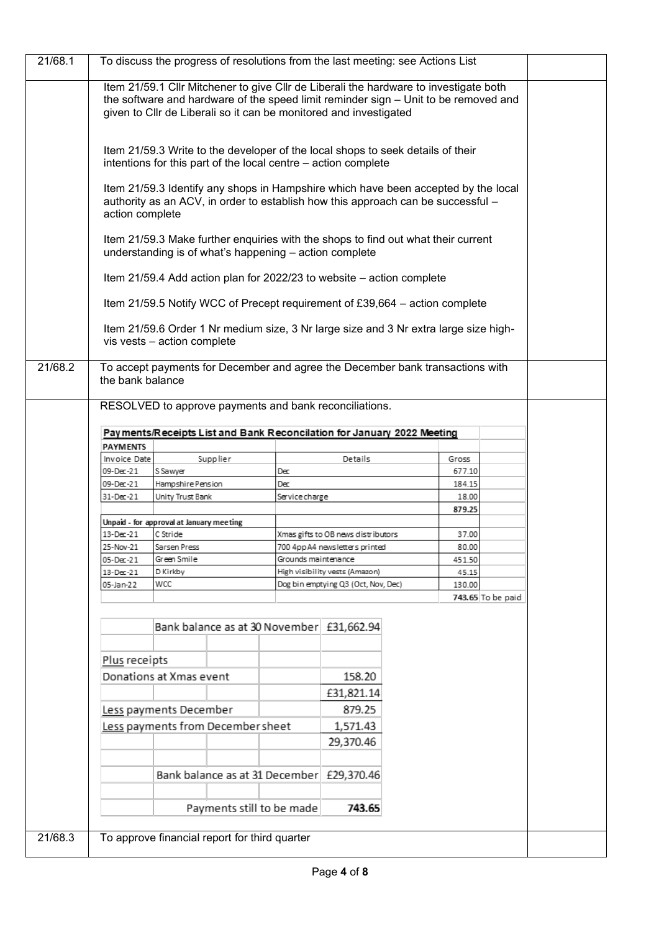| 21/68.1 | To discuss the progress of resolutions from the last meeting: see Actions List                                                                                                                                                                    |                                                                                                                                             |                     |                                     |                                                                                      |  |  |  |
|---------|---------------------------------------------------------------------------------------------------------------------------------------------------------------------------------------------------------------------------------------------------|---------------------------------------------------------------------------------------------------------------------------------------------|---------------------|-------------------------------------|--------------------------------------------------------------------------------------|--|--|--|
|         | Item 21/59.1 Cllr Mitchener to give Cllr de Liberali the hardware to investigate both<br>the software and hardware of the speed limit reminder sign - Unit to be removed and<br>given to Cllr de Liberali so it can be monitored and investigated |                                                                                                                                             |                     |                                     |                                                                                      |  |  |  |
|         | Item 21/59.3 Write to the developer of the local shops to seek details of their<br>intentions for this part of the local centre - action complete                                                                                                 |                                                                                                                                             |                     |                                     |                                                                                      |  |  |  |
|         | Item 21/59.3 Identify any shops in Hampshire which have been accepted by the local<br>authority as an ACV, in order to establish how this approach can be successful -<br>action complete                                                         |                                                                                                                                             |                     |                                     |                                                                                      |  |  |  |
|         |                                                                                                                                                                                                                                                   | Item 21/59.3 Make further enquiries with the shops to find out what their current<br>understanding is of what's happening - action complete |                     |                                     |                                                                                      |  |  |  |
|         |                                                                                                                                                                                                                                                   | Item 21/59.4 Add action plan for 2022/23 to website – action complete                                                                       |                     |                                     |                                                                                      |  |  |  |
|         |                                                                                                                                                                                                                                                   | Item 21/59.5 Notify WCC of Precept requirement of £39,664 – action complete                                                                 |                     |                                     |                                                                                      |  |  |  |
|         |                                                                                                                                                                                                                                                   | vis vests - action complete                                                                                                                 |                     |                                     | Item 21/59.6 Order 1 Nr medium size, 3 Nr large size and 3 Nr extra large size high- |  |  |  |
| 21/68.2 | the bank balance                                                                                                                                                                                                                                  | To accept payments for December and agree the December bank transactions with                                                               |                     |                                     |                                                                                      |  |  |  |
|         |                                                                                                                                                                                                                                                   | RESOLVED to approve payments and bank reconciliations.                                                                                      |                     |                                     |                                                                                      |  |  |  |
|         |                                                                                                                                                                                                                                                   | Payments/Receipts List and Bank Reconcilation for January 2022 Meeting                                                                      |                     |                                     |                                                                                      |  |  |  |
|         | <b>PAYMENTS</b>                                                                                                                                                                                                                                   |                                                                                                                                             |                     |                                     |                                                                                      |  |  |  |
|         | Invoice Date                                                                                                                                                                                                                                      | Supplier                                                                                                                                    |                     | Details                             | Gross                                                                                |  |  |  |
|         | 09-Dec-21<br>09-Dec-21                                                                                                                                                                                                                            | S Sawyer<br>Hampshire Pension                                                                                                               | Dec<br>Dec          |                                     | 677.10<br>184.15                                                                     |  |  |  |
|         | 31-Dec-21                                                                                                                                                                                                                                         | Unity Trust Bank                                                                                                                            | Service charge      |                                     | 18.00                                                                                |  |  |  |
|         |                                                                                                                                                                                                                                                   |                                                                                                                                             |                     |                                     | 879.25                                                                               |  |  |  |
|         |                                                                                                                                                                                                                                                   | Unpaid - for approval at January meeting                                                                                                    |                     |                                     |                                                                                      |  |  |  |
|         | 13-Dec-21                                                                                                                                                                                                                                         | C Stride                                                                                                                                    |                     | Xmas gifts to OB news distributors  | 37.00                                                                                |  |  |  |
|         | 25-Nov-21                                                                                                                                                                                                                                         | Sarsen Press                                                                                                                                |                     | 700 4pp A4 newsletters printed      | 80.00                                                                                |  |  |  |
|         | 05-Dec-21                                                                                                                                                                                                                                         | Green Smile                                                                                                                                 | Grounds maintenance | High visibility vests (Amazon)      | 451.50                                                                               |  |  |  |
|         | 13-Dec-21<br>05-Jan-22                                                                                                                                                                                                                            | D Kirkby<br>WCC                                                                                                                             |                     | Dog bin emptying Q3 (Oct, Nov, Dec) | 45.15<br>130.00                                                                      |  |  |  |
|         |                                                                                                                                                                                                                                                   |                                                                                                                                             |                     |                                     | 743.65 To be paid                                                                    |  |  |  |
|         |                                                                                                                                                                                                                                                   | Bank balance as at 30 November £31,662.94                                                                                                   |                     |                                     |                                                                                      |  |  |  |
|         | Plus receipts                                                                                                                                                                                                                                     |                                                                                                                                             |                     |                                     |                                                                                      |  |  |  |
|         |                                                                                                                                                                                                                                                   | Donations at Xmas event                                                                                                                     |                     | 158.20                              |                                                                                      |  |  |  |
|         |                                                                                                                                                                                                                                                   |                                                                                                                                             |                     | £31,821.14                          |                                                                                      |  |  |  |
|         |                                                                                                                                                                                                                                                   | Less payments December                                                                                                                      |                     | 879.25                              |                                                                                      |  |  |  |
|         |                                                                                                                                                                                                                                                   | Less payments from December sheet                                                                                                           |                     | 1,571.43                            |                                                                                      |  |  |  |
|         |                                                                                                                                                                                                                                                   |                                                                                                                                             |                     |                                     |                                                                                      |  |  |  |
|         |                                                                                                                                                                                                                                                   |                                                                                                                                             |                     | 29,370.46                           |                                                                                      |  |  |  |
|         |                                                                                                                                                                                                                                                   |                                                                                                                                             |                     |                                     |                                                                                      |  |  |  |
|         | Bank balance as at 31 December £29,370.46                                                                                                                                                                                                         |                                                                                                                                             |                     |                                     |                                                                                      |  |  |  |
|         |                                                                                                                                                                                                                                                   | Payments still to be made                                                                                                                   |                     | 743.65                              |                                                                                      |  |  |  |
|         |                                                                                                                                                                                                                                                   |                                                                                                                                             |                     |                                     |                                                                                      |  |  |  |
| 21/68.3 |                                                                                                                                                                                                                                                   | To approve financial report for third quarter                                                                                               |                     |                                     |                                                                                      |  |  |  |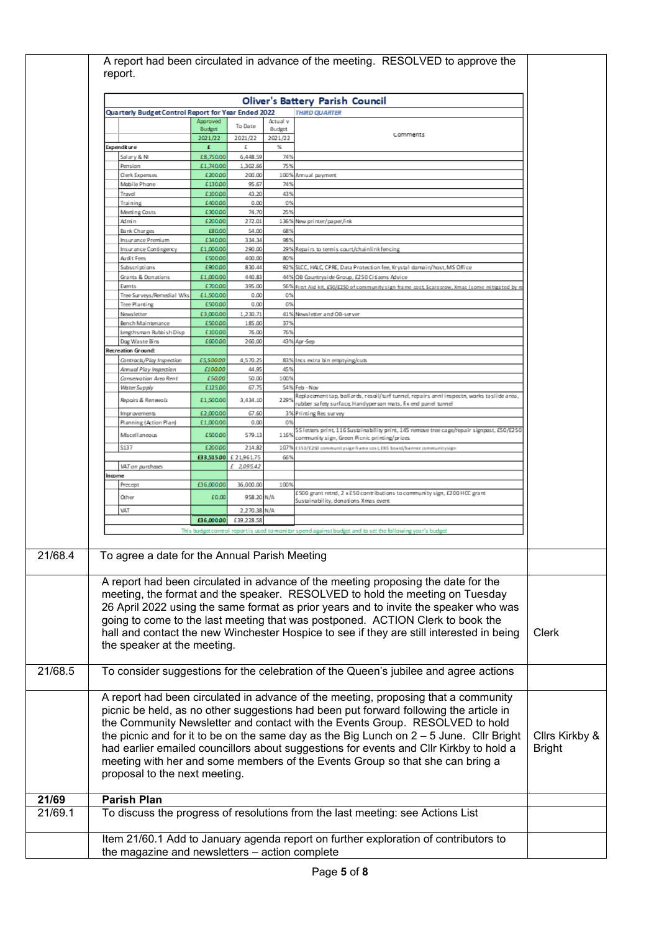|         | A report had been circulated in advance of the meeting. RESOLVED to approve the<br>report.                                                                                                                                                                                                                                                                                                                                                                                                                                                                           |                      |                        |              |                                                                                                                                                              |  |  |  |
|---------|----------------------------------------------------------------------------------------------------------------------------------------------------------------------------------------------------------------------------------------------------------------------------------------------------------------------------------------------------------------------------------------------------------------------------------------------------------------------------------------------------------------------------------------------------------------------|----------------------|------------------------|--------------|--------------------------------------------------------------------------------------------------------------------------------------------------------------|--|--|--|
|         | <b>Oliver's Battery Parish Council</b>                                                                                                                                                                                                                                                                                                                                                                                                                                                                                                                               |                      |                        |              |                                                                                                                                                              |  |  |  |
|         | Quarterly Budget Control Report for Year Ended 2022<br><b>THIRD QUARTER</b><br>Actual v                                                                                                                                                                                                                                                                                                                                                                                                                                                                              |                      |                        |              |                                                                                                                                                              |  |  |  |
|         |                                                                                                                                                                                                                                                                                                                                                                                                                                                                                                                                                                      | Approved<br>Budget   | To Date                | Budget       | Comments                                                                                                                                                     |  |  |  |
|         | Expenditure                                                                                                                                                                                                                                                                                                                                                                                                                                                                                                                                                          | 2021/22<br>£         | 2021/22<br>£           | 2021/22<br>℁ |                                                                                                                                                              |  |  |  |
|         | Salary & NI                                                                                                                                                                                                                                                                                                                                                                                                                                                                                                                                                          | £8,750.00            | 6,448.59               | 749          |                                                                                                                                                              |  |  |  |
|         | Pension                                                                                                                                                                                                                                                                                                                                                                                                                                                                                                                                                              | £1,740.00            | 1,302.66<br>200.00     | 75%          |                                                                                                                                                              |  |  |  |
|         | Clerk Expenses<br>Mobile Phone                                                                                                                                                                                                                                                                                                                                                                                                                                                                                                                                       | £200.00<br>£130.00   | 95.67                  | 100%<br>749  | Annual payment                                                                                                                                               |  |  |  |
|         | Travel                                                                                                                                                                                                                                                                                                                                                                                                                                                                                                                                                               | £100.00              | 43.20                  | 43%          |                                                                                                                                                              |  |  |  |
|         | Training<br>Meeting Costs                                                                                                                                                                                                                                                                                                                                                                                                                                                                                                                                            | £400.00<br>£300.00   | 0.00<br>74.70          | 0%<br>25%    |                                                                                                                                                              |  |  |  |
|         | Admin                                                                                                                                                                                                                                                                                                                                                                                                                                                                                                                                                                | £200.00              | 272.01                 |              | 136% New printer/paper/ink                                                                                                                                   |  |  |  |
|         | Bank Charges                                                                                                                                                                                                                                                                                                                                                                                                                                                                                                                                                         | £80.00               | 54.00                  | 68%          |                                                                                                                                                              |  |  |  |
|         | Insurance Premium<br>Insurance Contingency                                                                                                                                                                                                                                                                                                                                                                                                                                                                                                                           | £340.00<br>£1,000.00 | 334.34<br>290.00       | 98%          | 29% Repairs to tennis court/chainlink fencing                                                                                                                |  |  |  |
|         | Audit Fees                                                                                                                                                                                                                                                                                                                                                                                                                                                                                                                                                           | £500.00              | 400.00                 | 80%          |                                                                                                                                                              |  |  |  |
|         | Subscriptions                                                                                                                                                                                                                                                                                                                                                                                                                                                                                                                                                        | £90000               | 830.44                 |              | 92% SLCC, HALC, CPRE, Data Protection fee, Krystal domain/host, MS Office                                                                                    |  |  |  |
|         | Grants & Donations<br>Events                                                                                                                                                                                                                                                                                                                                                                                                                                                                                                                                         | £1,000.00<br>£700.00 | 440.83<br>395.00       | 44%          | OB Countryside Group, £250 Citizens Advice<br>56% First Aid kit, ESO/E250 of community sign frame cost, Scarecrow, Xmas (some mitigated by r                 |  |  |  |
|         | Tree Sur veys/Remedial Wks                                                                                                                                                                                                                                                                                                                                                                                                                                                                                                                                           | £1,500.00            | 0.00                   | 0%           |                                                                                                                                                              |  |  |  |
|         | Tree Planting                                                                                                                                                                                                                                                                                                                                                                                                                                                                                                                                                        | £500.00<br>£3,000.00 | 0.00<br>1,230.71       | 0%           | 41% Newsletter and OB-server                                                                                                                                 |  |  |  |
|         | Newsletter<br>Bench Maintenance                                                                                                                                                                                                                                                                                                                                                                                                                                                                                                                                      | £500.00              | 185.00                 | 379          |                                                                                                                                                              |  |  |  |
|         | Lengthsman Rubbish Diso                                                                                                                                                                                                                                                                                                                                                                                                                                                                                                                                              | £100.00              | 76.00                  | 76%          |                                                                                                                                                              |  |  |  |
|         | Dog Waste Bins<br>Recreation Ground:                                                                                                                                                                                                                                                                                                                                                                                                                                                                                                                                 | £600.00              | 260.00                 |              | 43% Apr-Sep                                                                                                                                                  |  |  |  |
|         | Contracts/Play Inspection                                                                                                                                                                                                                                                                                                                                                                                                                                                                                                                                            | £5,500.00            | 4,570.25               |              | 83% Incs extra bin emptying/cuts                                                                                                                             |  |  |  |
|         | Annual Play Inspection                                                                                                                                                                                                                                                                                                                                                                                                                                                                                                                                               | £100.00              | 44.95                  | 45%          |                                                                                                                                                              |  |  |  |
|         | Conservation Area Rent<br>Water Supply                                                                                                                                                                                                                                                                                                                                                                                                                                                                                                                               | £50.00<br>£125.00    | 50.00<br>67.75         | 100%         | 54% Feb - Nov                                                                                                                                                |  |  |  |
|         | Repairs & Renewals                                                                                                                                                                                                                                                                                                                                                                                                                                                                                                                                                   | £1,500.00            | 3,434.10               | 229%         | , Replacement tap, bollards, resoil/turf tunnel, repairs annl inspectn, works to slide area<br>rubber safety surface, Handyperson mats, fix end panel tunnel |  |  |  |
|         | Improvements                                                                                                                                                                                                                                                                                                                                                                                                                                                                                                                                                         | £2,000.00            | 67.60                  |              | 3% Printing Rec survey                                                                                                                                       |  |  |  |
|         | Planning (Action Plan)                                                                                                                                                                                                                                                                                                                                                                                                                                                                                                                                               | £1,000.00<br>£500.00 | 0.00<br>579.13         | 0%           | 55 letters print, 116 Sustainability print, 145 remove tree cage/repair signpost, £50/£250                                                                   |  |  |  |
|         | Miscellaneous<br>\$137                                                                                                                                                                                                                                                                                                                                                                                                                                                                                                                                               | £200.00              | 214.82                 | 1169<br>107% | community sign, Green Picnic printing/prizes<br>£150/£250 communitysign frame cos t, £65 board/banner communitysign                                          |  |  |  |
|         |                                                                                                                                                                                                                                                                                                                                                                                                                                                                                                                                                                      |                      | £33,515.00 £ 21,961.75 | 66%          |                                                                                                                                                              |  |  |  |
|         | VAT on purchases                                                                                                                                                                                                                                                                                                                                                                                                                                                                                                                                                     |                      | £ 2,095.42             |              |                                                                                                                                                              |  |  |  |
|         | Income<br>Precept                                                                                                                                                                                                                                                                                                                                                                                                                                                                                                                                                    | £36,000.00           | 36,000.00              | 100%         |                                                                                                                                                              |  |  |  |
|         | Other                                                                                                                                                                                                                                                                                                                                                                                                                                                                                                                                                                | £0.00                | 958.20 N/A             |              | £500 grant retnd, 2 x£50 contributions to community sign, £200 HCC grant                                                                                     |  |  |  |
|         | VAT                                                                                                                                                                                                                                                                                                                                                                                                                                                                                                                                                                  |                      | 2,270.38 N/A           |              | Sustainability, donations Xmas event                                                                                                                         |  |  |  |
|         |                                                                                                                                                                                                                                                                                                                                                                                                                                                                                                                                                                      | £36,000.00           | £39,228.58             |              |                                                                                                                                                              |  |  |  |
|         |                                                                                                                                                                                                                                                                                                                                                                                                                                                                                                                                                                      |                      |                        |              | This budget control report is used to monitor spend against budget and to set the following year's budget                                                    |  |  |  |
|         |                                                                                                                                                                                                                                                                                                                                                                                                                                                                                                                                                                      |                      |                        |              |                                                                                                                                                              |  |  |  |
| 21/68.4 | To agree a date for the Annual Parish Meeting                                                                                                                                                                                                                                                                                                                                                                                                                                                                                                                        |                      |                        |              |                                                                                                                                                              |  |  |  |
|         | A report had been circulated in advance of the meeting proposing the date for the<br>meeting, the format and the speaker. RESOLVED to hold the meeting on Tuesday<br>26 April 2022 using the same format as prior years and to invite the speaker who was<br>going to come to the last meeting that was postponed. ACTION Clerk to book the<br>hall and contact the new Winchester Hospice to see if they are still interested in being<br>the speaker at the meeting.                                                                                               |                      |                        |              |                                                                                                                                                              |  |  |  |
| 21/68.5 |                                                                                                                                                                                                                                                                                                                                                                                                                                                                                                                                                                      |                      |                        |              | To consider suggestions for the celebration of the Queen's jubilee and agree actions                                                                         |  |  |  |
|         | A report had been circulated in advance of the meeting, proposing that a community<br>picnic be held, as no other suggestions had been put forward following the article in<br>the Community Newsletter and contact with the Events Group. RESOLVED to hold<br>the picnic and for it to be on the same day as the Big Lunch on $2 - 5$ June. Cllr Bright<br>had earlier emailed councillors about suggestions for events and Cllr Kirkby to hold a<br>meeting with her and some members of the Events Group so that she can bring a<br>proposal to the next meeting. |                      |                        |              |                                                                                                                                                              |  |  |  |
| 21/69   | <b>Parish Plan</b>                                                                                                                                                                                                                                                                                                                                                                                                                                                                                                                                                   |                      |                        |              |                                                                                                                                                              |  |  |  |
| 21/69.1 |                                                                                                                                                                                                                                                                                                                                                                                                                                                                                                                                                                      |                      |                        |              | To discuss the progress of resolutions from the last meeting: see Actions List                                                                               |  |  |  |
|         | Item 21/60.1 Add to January agenda report on further exploration of contributors to<br>the magazine and newsletters - action complete                                                                                                                                                                                                                                                                                                                                                                                                                                |                      |                        |              |                                                                                                                                                              |  |  |  |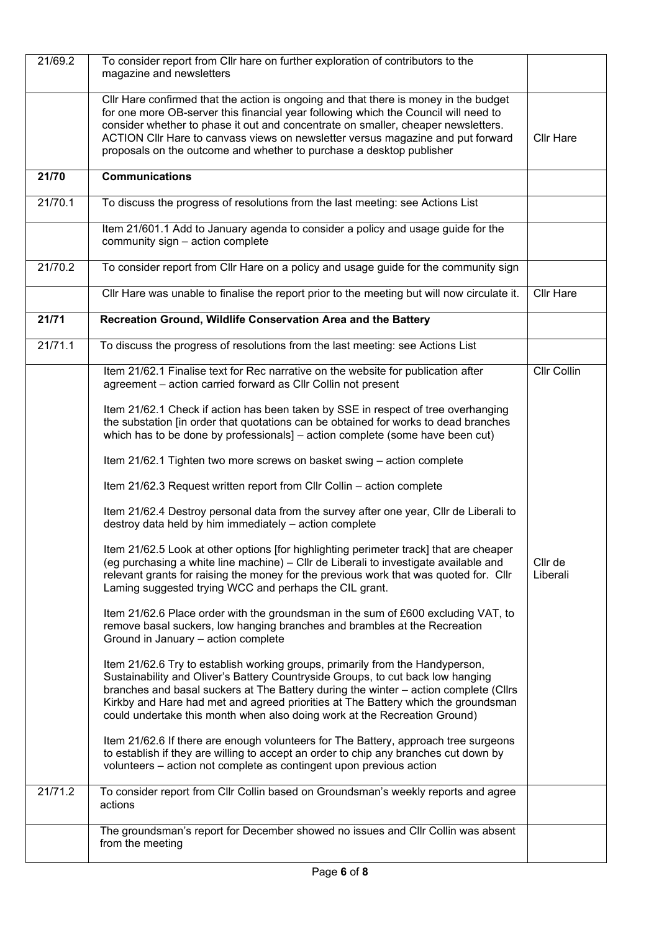| 21/69.2 | To consider report from Cllr hare on further exploration of contributors to the<br>magazine and newsletters                                                                                                                                                                                                                                                                                                                 |                     |
|---------|-----------------------------------------------------------------------------------------------------------------------------------------------------------------------------------------------------------------------------------------------------------------------------------------------------------------------------------------------------------------------------------------------------------------------------|---------------------|
|         | CIIr Hare confirmed that the action is ongoing and that there is money in the budget<br>for one more OB-server this financial year following which the Council will need to<br>consider whether to phase it out and concentrate on smaller, cheaper newsletters.<br>ACTION Cllr Hare to canvass views on newsletter versus magazine and put forward<br>proposals on the outcome and whether to purchase a desktop publisher | <b>Cllr Hare</b>    |
| 21/70   | <b>Communications</b>                                                                                                                                                                                                                                                                                                                                                                                                       |                     |
| 21/70.1 | To discuss the progress of resolutions from the last meeting: see Actions List                                                                                                                                                                                                                                                                                                                                              |                     |
|         | Item 21/601.1 Add to January agenda to consider a policy and usage guide for the<br>community sign - action complete                                                                                                                                                                                                                                                                                                        |                     |
| 21/70.2 | To consider report from Cllr Hare on a policy and usage guide for the community sign                                                                                                                                                                                                                                                                                                                                        |                     |
|         | Cllr Hare was unable to finalise the report prior to the meeting but will now circulate it.                                                                                                                                                                                                                                                                                                                                 | <b>Cllr Hare</b>    |
| 21/71   | Recreation Ground, Wildlife Conservation Area and the Battery                                                                                                                                                                                                                                                                                                                                                               |                     |
| 21/71.1 | To discuss the progress of resolutions from the last meeting: see Actions List                                                                                                                                                                                                                                                                                                                                              |                     |
|         | Item 21/62.1 Finalise text for Rec narrative on the website for publication after<br>agreement - action carried forward as CIIr Collin not present                                                                                                                                                                                                                                                                          | Cllr Collin         |
|         | Item 21/62.1 Check if action has been taken by SSE in respect of tree overhanging<br>the substation [in order that quotations can be obtained for works to dead branches<br>which has to be done by professionals] - action complete (some have been cut)                                                                                                                                                                   |                     |
|         | Item 21/62.1 Tighten two more screws on basket swing - action complete                                                                                                                                                                                                                                                                                                                                                      |                     |
|         | Item 21/62.3 Request written report from CIIr Collin - action complete                                                                                                                                                                                                                                                                                                                                                      |                     |
|         | Item 21/62.4 Destroy personal data from the survey after one year, Cllr de Liberali to<br>destroy data held by him immediately - action complete                                                                                                                                                                                                                                                                            |                     |
|         | Item 21/62.5 Look at other options [for highlighting perimeter track] that are cheaper<br>(eg purchasing a white line machine) – Cllr de Liberali to investigate available and<br>relevant grants for raising the money for the previous work that was quoted for. Cllr<br>Laming suggested trying WCC and perhaps the CIL grant.                                                                                           | Cllr de<br>Liberali |
|         | Item 21/62.6 Place order with the groundsman in the sum of £600 excluding VAT, to<br>remove basal suckers, low hanging branches and brambles at the Recreation<br>Ground in January - action complete                                                                                                                                                                                                                       |                     |
|         | Item 21/62.6 Try to establish working groups, primarily from the Handyperson,<br>Sustainability and Oliver's Battery Countryside Groups, to cut back low hanging<br>branches and basal suckers at The Battery during the winter – action complete (Cllrs<br>Kirkby and Hare had met and agreed priorities at The Battery which the groundsman<br>could undertake this month when also doing work at the Recreation Ground)  |                     |
|         | Item 21/62.6 If there are enough volunteers for The Battery, approach tree surgeons<br>to establish if they are willing to accept an order to chip any branches cut down by<br>volunteers - action not complete as contingent upon previous action                                                                                                                                                                          |                     |
| 21/71.2 | To consider report from Cllr Collin based on Groundsman's weekly reports and agree<br>actions                                                                                                                                                                                                                                                                                                                               |                     |
|         | The groundsman's report for December showed no issues and Cllr Collin was absent<br>from the meeting                                                                                                                                                                                                                                                                                                                        |                     |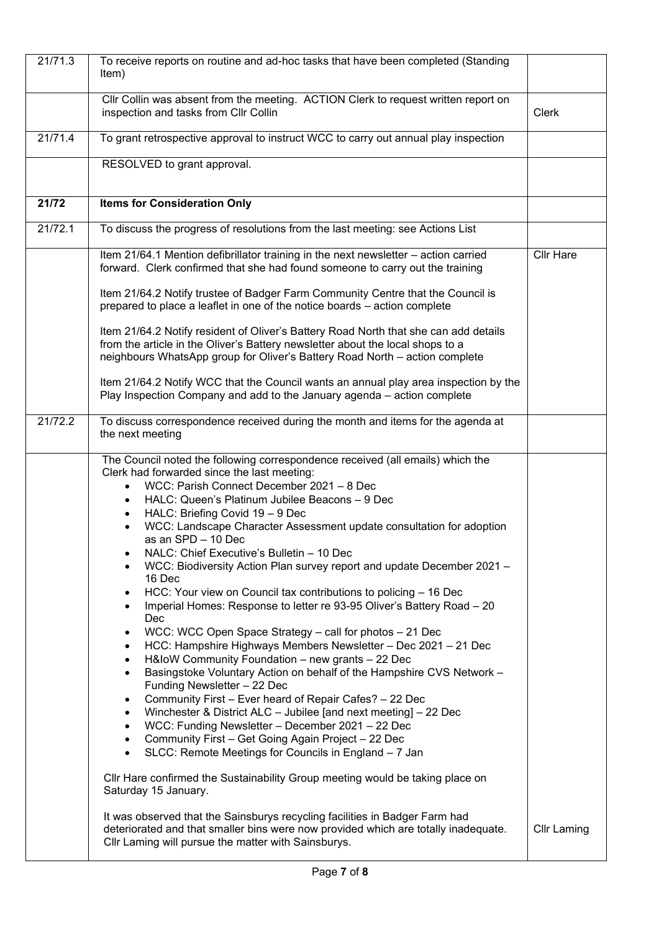| 21/71.3 | To receive reports on routine and ad-hoc tasks that have been completed (Standing<br>Item)                                                                                                                                                                                                                                                                                                                                                                                                                                                                                                                                                                                                                                                                                                                                                                                                                                                                                                                                                                                                                                                                                                                                                                                                                                                                                                                                                                                                                                                                                                                                                                                                                                                                                           |                    |
|---------|--------------------------------------------------------------------------------------------------------------------------------------------------------------------------------------------------------------------------------------------------------------------------------------------------------------------------------------------------------------------------------------------------------------------------------------------------------------------------------------------------------------------------------------------------------------------------------------------------------------------------------------------------------------------------------------------------------------------------------------------------------------------------------------------------------------------------------------------------------------------------------------------------------------------------------------------------------------------------------------------------------------------------------------------------------------------------------------------------------------------------------------------------------------------------------------------------------------------------------------------------------------------------------------------------------------------------------------------------------------------------------------------------------------------------------------------------------------------------------------------------------------------------------------------------------------------------------------------------------------------------------------------------------------------------------------------------------------------------------------------------------------------------------------|--------------------|
|         | Cllr Collin was absent from the meeting. ACTION Clerk to request written report on<br>inspection and tasks from Cllr Collin                                                                                                                                                                                                                                                                                                                                                                                                                                                                                                                                                                                                                                                                                                                                                                                                                                                                                                                                                                                                                                                                                                                                                                                                                                                                                                                                                                                                                                                                                                                                                                                                                                                          | <b>Clerk</b>       |
| 21/71.4 | To grant retrospective approval to instruct WCC to carry out annual play inspection                                                                                                                                                                                                                                                                                                                                                                                                                                                                                                                                                                                                                                                                                                                                                                                                                                                                                                                                                                                                                                                                                                                                                                                                                                                                                                                                                                                                                                                                                                                                                                                                                                                                                                  |                    |
|         | RESOLVED to grant approval.                                                                                                                                                                                                                                                                                                                                                                                                                                                                                                                                                                                                                                                                                                                                                                                                                                                                                                                                                                                                                                                                                                                                                                                                                                                                                                                                                                                                                                                                                                                                                                                                                                                                                                                                                          |                    |
| 21/72   | <b>Items for Consideration Only</b>                                                                                                                                                                                                                                                                                                                                                                                                                                                                                                                                                                                                                                                                                                                                                                                                                                                                                                                                                                                                                                                                                                                                                                                                                                                                                                                                                                                                                                                                                                                                                                                                                                                                                                                                                  |                    |
| 21/72.1 | To discuss the progress of resolutions from the last meeting: see Actions List                                                                                                                                                                                                                                                                                                                                                                                                                                                                                                                                                                                                                                                                                                                                                                                                                                                                                                                                                                                                                                                                                                                                                                                                                                                                                                                                                                                                                                                                                                                                                                                                                                                                                                       |                    |
|         | Item 21/64.1 Mention defibrillator training in the next newsletter - action carried<br>forward. Clerk confirmed that she had found someone to carry out the training                                                                                                                                                                                                                                                                                                                                                                                                                                                                                                                                                                                                                                                                                                                                                                                                                                                                                                                                                                                                                                                                                                                                                                                                                                                                                                                                                                                                                                                                                                                                                                                                                 | <b>Cllr Hare</b>   |
|         | Item 21/64.2 Notify trustee of Badger Farm Community Centre that the Council is<br>prepared to place a leaflet in one of the notice boards - action complete                                                                                                                                                                                                                                                                                                                                                                                                                                                                                                                                                                                                                                                                                                                                                                                                                                                                                                                                                                                                                                                                                                                                                                                                                                                                                                                                                                                                                                                                                                                                                                                                                         |                    |
|         | Item 21/64.2 Notify resident of Oliver's Battery Road North that she can add details<br>from the article in the Oliver's Battery newsletter about the local shops to a<br>neighbours WhatsApp group for Oliver's Battery Road North - action complete                                                                                                                                                                                                                                                                                                                                                                                                                                                                                                                                                                                                                                                                                                                                                                                                                                                                                                                                                                                                                                                                                                                                                                                                                                                                                                                                                                                                                                                                                                                                |                    |
|         | Item 21/64.2 Notify WCC that the Council wants an annual play area inspection by the<br>Play Inspection Company and add to the January agenda - action complete                                                                                                                                                                                                                                                                                                                                                                                                                                                                                                                                                                                                                                                                                                                                                                                                                                                                                                                                                                                                                                                                                                                                                                                                                                                                                                                                                                                                                                                                                                                                                                                                                      |                    |
| 21/72.2 | To discuss correspondence received during the month and items for the agenda at<br>the next meeting                                                                                                                                                                                                                                                                                                                                                                                                                                                                                                                                                                                                                                                                                                                                                                                                                                                                                                                                                                                                                                                                                                                                                                                                                                                                                                                                                                                                                                                                                                                                                                                                                                                                                  |                    |
|         | The Council noted the following correspondence received (all emails) which the<br>Clerk had forwarded since the last meeting:<br>WCC: Parish Connect December 2021 - 8 Dec<br>$\bullet$<br>HALC: Queen's Platinum Jubilee Beacons - 9 Dec<br>$\bullet$<br>HALC: Briefing Covid 19 - 9 Dec<br>$\bullet$<br>WCC: Landscape Character Assessment update consultation for adoption<br>$\bullet$<br>as an SPD - 10 Dec<br>NALC: Chief Executive's Bulletin - 10 Dec<br>WCC: Biodiversity Action Plan survey report and update December 2021 -<br>16 Dec<br>HCC: Your view on Council tax contributions to policing - 16 Dec<br>$\bullet$<br>Imperial Homes: Response to letter re 93-95 Oliver's Battery Road - 20<br>$\bullet$<br>Dec<br>WCC: WCC Open Space Strategy - call for photos - 21 Dec<br>$\bullet$<br>HCC: Hampshire Highways Members Newsletter - Dec 2021 - 21 Dec<br>$\bullet$<br>H&IoW Community Foundation - new grants - 22 Dec<br>$\bullet$<br>Basingstoke Voluntary Action on behalf of the Hampshire CVS Network -<br>$\bullet$<br>Funding Newsletter - 22 Dec<br>Community First - Ever heard of Repair Cafes? - 22 Dec<br>$\bullet$<br>Winchester & District ALC - Jubilee [and next meeting] - 22 Dec<br>$\bullet$<br>WCC: Funding Newsletter - December 2021 - 22 Dec<br>$\bullet$<br>Community First - Get Going Again Project - 22 Dec<br>$\bullet$<br>SLCC: Remote Meetings for Councils in England - 7 Jan<br>$\bullet$<br>Cllr Hare confirmed the Sustainability Group meeting would be taking place on<br>Saturday 15 January.<br>It was observed that the Sainsburys recycling facilities in Badger Farm had<br>deteriorated and that smaller bins were now provided which are totally inadequate.<br>Cllr Laming will pursue the matter with Sainsburys. | <b>Cllr Laming</b> |